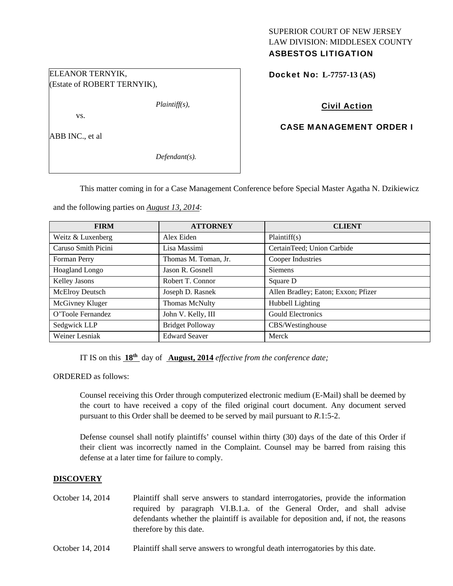# ELEANOR TERNYIK, (Estate of ROBERT TERNYIK),

vs.

ABB INC., et al

*Defendant(s).* 

*Plaintiff(s),* 

SUPERIOR COURT OF NEW JERSEY LAW DIVISION: MIDDLESEX COUNTY ASBESTOS LITIGATION

Docket No: **L-7757-13 (AS)** 

# Civil Action

# CASE MANAGEMENT ORDER I

This matter coming in for a Case Management Conference before Special Master Agatha N. Dzikiewicz

and the following parties on *August 13, 2014*:

| <b>FIRM</b>           | <b>ATTORNEY</b>         | <b>CLIENT</b>                       |
|-----------------------|-------------------------|-------------------------------------|
| Weitz & Luxenberg     | Alex Eiden              | Plaintiff(s)                        |
| Caruso Smith Picini   | Lisa Massimi            | CertainTeed; Union Carbide          |
| Forman Perry          | Thomas M. Toman, Jr.    | Cooper Industries                   |
| <b>Hoagland Longo</b> | Jason R. Gosnell        | Siemens                             |
| <b>Kelley Jasons</b>  | Robert T. Connor        | Square D                            |
| McElroy Deutsch       | Joseph D. Rasnek        | Allen Bradley; Eaton; Exxon; Pfizer |
| McGivney Kluger       | <b>Thomas McNulty</b>   | Hubbell Lighting                    |
| O'Toole Fernandez     | John V. Kelly, III      | <b>Gould Electronics</b>            |
| Sedgwick LLP          | <b>Bridget Polloway</b> | CBS/Westinghouse                    |
| Weiner Lesniak        | <b>Edward Seaver</b>    | Merck                               |

IT IS on this **18th** day of **August, 2014** *effective from the conference date;*

ORDERED as follows:

Counsel receiving this Order through computerized electronic medium (E-Mail) shall be deemed by the court to have received a copy of the filed original court document. Any document served pursuant to this Order shall be deemed to be served by mail pursuant to *R*.1:5-2.

Defense counsel shall notify plaintiffs' counsel within thirty (30) days of the date of this Order if their client was incorrectly named in the Complaint. Counsel may be barred from raising this defense at a later time for failure to comply.

### **DISCOVERY**

- October 14, 2014 Plaintiff shall serve answers to standard interrogatories, provide the information required by paragraph VI.B.1.a. of the General Order, and shall advise defendants whether the plaintiff is available for deposition and, if not, the reasons therefore by this date.
- October 14, 2014 Plaintiff shall serve answers to wrongful death interrogatories by this date.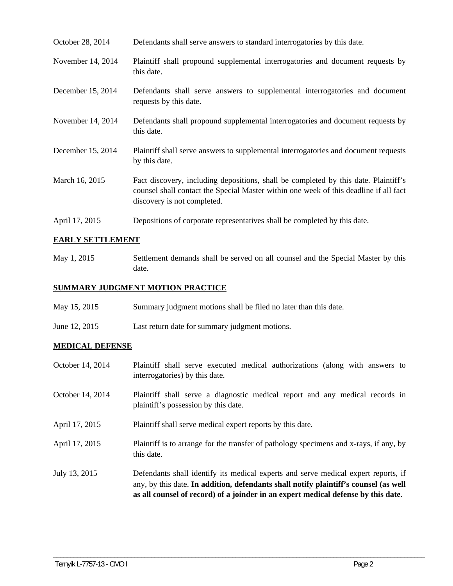| October 28, 2014  | Defendants shall serve answers to standard interrogatories by this date.                                                                                                                                    |
|-------------------|-------------------------------------------------------------------------------------------------------------------------------------------------------------------------------------------------------------|
| November 14, 2014 | Plaintiff shall propound supplemental interrogatories and document requests by<br>this date.                                                                                                                |
| December 15, 2014 | Defendants shall serve answers to supplemental interrogatories and document<br>requests by this date.                                                                                                       |
| November 14, 2014 | Defendants shall propound supplemental interrogatories and document requests by<br>this date.                                                                                                               |
| December 15, 2014 | Plaintiff shall serve answers to supplemental interrogatories and document requests<br>by this date.                                                                                                        |
| March 16, 2015    | Fact discovery, including depositions, shall be completed by this date. Plaintiff's<br>counsel shall contact the Special Master within one week of this deadline if all fact<br>discovery is not completed. |
| April 17, 2015    | Depositions of corporate representatives shall be completed by this date.                                                                                                                                   |

## **EARLY SETTLEMENT**

May 1, 2015 Settlement demands shall be served on all counsel and the Special Master by this date.

### **SUMMARY JUDGMENT MOTION PRACTICE**

- May 15, 2015 Summary judgment motions shall be filed no later than this date.
- June 12, 2015 Last return date for summary judgment motions.

### **MEDICAL DEFENSE**

| October 14, 2014 | Plaintiff shall serve executed medical authorizations (along with answers to<br>interrogatories) by this date.                                                                                                                                                  |
|------------------|-----------------------------------------------------------------------------------------------------------------------------------------------------------------------------------------------------------------------------------------------------------------|
| October 14, 2014 | Plaintiff shall serve a diagnostic medical report and any medical records in<br>plaintiff's possession by this date.                                                                                                                                            |
| April 17, 2015   | Plaintiff shall serve medical expert reports by this date.                                                                                                                                                                                                      |
| April 17, 2015   | Plaintiff is to arrange for the transfer of pathology specimens and x-rays, if any, by<br>this date.                                                                                                                                                            |
| July 13, 2015    | Defendants shall identify its medical experts and serve medical expert reports, if<br>any, by this date. In addition, defendants shall notify plaintiff's counsel (as well<br>as all counsel of record) of a joinder in an expert medical defense by this date. |

\_\_\_\_\_\_\_\_\_\_\_\_\_\_\_\_\_\_\_\_\_\_\_\_\_\_\_\_\_\_\_\_\_\_\_\_\_\_\_\_\_\_\_\_\_\_\_\_\_\_\_\_\_\_\_\_\_\_\_\_\_\_\_\_\_\_\_\_\_\_\_\_\_\_\_\_\_\_\_\_\_\_\_\_\_\_\_\_\_\_\_\_\_\_\_\_\_\_\_\_\_\_\_\_\_\_\_\_\_\_